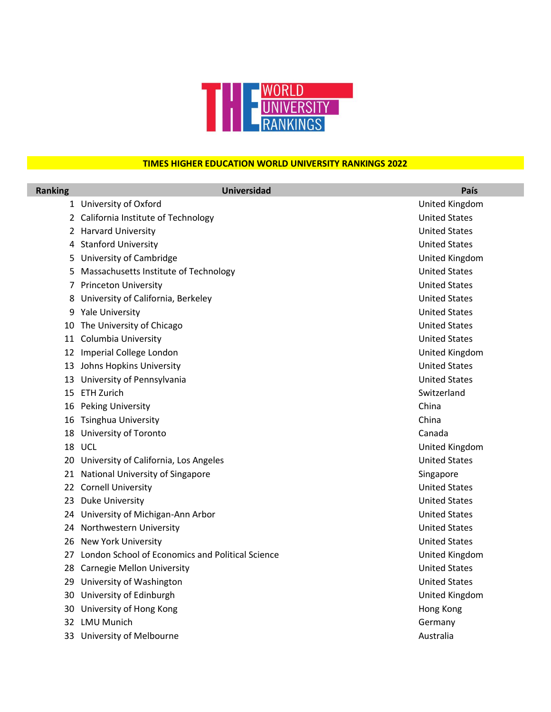

## **TIMES HIGHER EDUCATION WORLD UNIVERSITY RANKINGS 2022**

| <b>Ranking</b> | <b>Universidad</b>                                  | País                 |
|----------------|-----------------------------------------------------|----------------------|
|                | 1 University of Oxford                              | United Kingdom       |
|                | 2 California Institute of Technology                | <b>United States</b> |
|                | 2 Harvard University                                | <b>United States</b> |
|                | 4 Stanford University                               | <b>United States</b> |
|                | 5 University of Cambridge                           | United Kingdom       |
|                | 5 Massachusetts Institute of Technology             | <b>United States</b> |
|                | 7 Princeton University                              | <b>United States</b> |
|                | 8 University of California, Berkeley                | <b>United States</b> |
|                | 9 Yale University                                   | <b>United States</b> |
|                | 10 The University of Chicago                        | <b>United States</b> |
|                | 11 Columbia University                              | <b>United States</b> |
|                | 12 Imperial College London                          | United Kingdom       |
|                | 13 Johns Hopkins University                         | <b>United States</b> |
|                | 13 University of Pennsylvania                       | <b>United States</b> |
|                | 15 ETH Zurich                                       | Switzerland          |
|                | 16 Peking University                                | China                |
|                | 16 Tsinghua University                              | China                |
|                | 18 University of Toronto                            | Canada               |
|                | 18 UCL                                              | United Kingdom       |
|                | 20 University of California, Los Angeles            | <b>United States</b> |
|                | 21 National University of Singapore                 | Singapore            |
|                | 22 Cornell University                               | <b>United States</b> |
|                | 23 Duke University                                  | <b>United States</b> |
|                | 24 University of Michigan-Ann Arbor                 | <b>United States</b> |
|                | 24 Northwestern University                          | <b>United States</b> |
|                | 26 New York University                              | <b>United States</b> |
|                | 27 London School of Economics and Political Science | United Kingdom       |
|                | 28 Carnegie Mellon University                       | <b>United States</b> |
|                | 29 University of Washington                         | <b>United States</b> |
|                | 30 University of Edinburgh                          | United Kingdom       |
|                | 30 University of Hong Kong                          | Hong Kong            |
|                | 32 LMU Munich                                       | Germany              |
|                | 33 University of Melbourne                          | Australia            |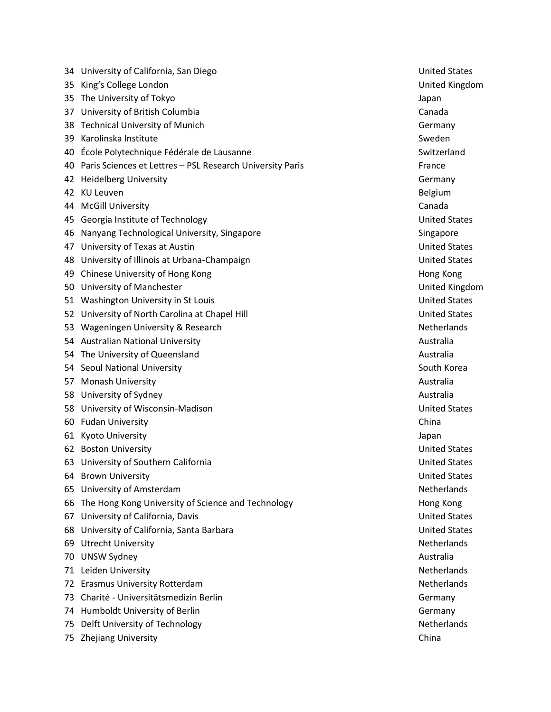|     | 34 University of California, San Diego                       | <b>United States</b> |
|-----|--------------------------------------------------------------|----------------------|
|     | 35 King's College London                                     | United Kingde        |
|     | 35 The University of Tokyo                                   | Japan                |
|     | 37 University of British Columbia                            | Canada               |
|     | 38 Technical University of Munich                            | Germany              |
|     | 39 Karolinska Institute                                      | Sweden               |
|     | 40 École Polytechnique Fédérale de Lausanne                  | Switzerland          |
|     | 40 Paris Sciences et Lettres - PSL Research University Paris | France               |
|     | 42 Heidelberg University                                     | Germany              |
|     | 42 KU Leuven                                                 | Belgium              |
|     | 44 McGill University                                         | Canada               |
|     | 45 Georgia Institute of Technology                           | <b>United States</b> |
|     | 46 Nanyang Technological University, Singapore               | Singapore            |
|     | 47 University of Texas at Austin                             | <b>United States</b> |
|     | 48 University of Illinois at Urbana-Champaign                | <b>United States</b> |
|     | 49 Chinese University of Hong Kong                           | Hong Kong            |
|     | 50 University of Manchester                                  | United Kingde        |
|     | 51 Washington University in St Louis                         | <b>United States</b> |
|     | 52 University of North Carolina at Chapel Hill               | <b>United States</b> |
|     | 53 Wageningen University & Research                          | <b>Netherlands</b>   |
|     | 54 Australian National University                            | Australia            |
|     | 54 The University of Queensland                              | Australia            |
|     | 54 Seoul National University                                 | South Korea          |
|     | 57 Monash University                                         | Australia            |
|     | 58 University of Sydney                                      | Australia            |
|     | 58 University of Wisconsin-Madison                           | <b>United States</b> |
|     | 60 Fudan University                                          | China                |
|     | 61 Kyoto University                                          | Japan                |
|     | 62 Boston University                                         | <b>United States</b> |
|     | 63 University of Southern California                         | <b>United States</b> |
|     | 64 Brown University                                          | <b>United States</b> |
|     | 65 University of Amsterdam                                   | <b>Netherlands</b>   |
|     | 66 The Hong Kong University of Science and Technology        | Hong Kong            |
| 67  | University of California, Davis                              | <b>United States</b> |
|     | 68 University of California, Santa Barbara                   | <b>United States</b> |
|     | 69 Utrecht University                                        | <b>Netherlands</b>   |
|     | 70 UNSW Sydney                                               | Australia            |
|     | 71 Leiden University                                         | Netherlands          |
|     | 72 Erasmus University Rotterdam                              | Netherlands          |
| 73. | Charité - Universitätsmedizin Berlin                         | Germany              |
|     | 74 Humboldt University of Berlin                             | Germany              |
| 75. | Delft University of Technology                               | Netherlands          |
|     | 75 Zhejiang University                                       | China                |

**United States** United Kingdom United States **United States** United States Hong Kong United Kingdom United States United States United States United States United States Netherlands 66 The Hong Kong University of Science and Technology Hong Kong United States United States Netherlands Netherlands Netherlands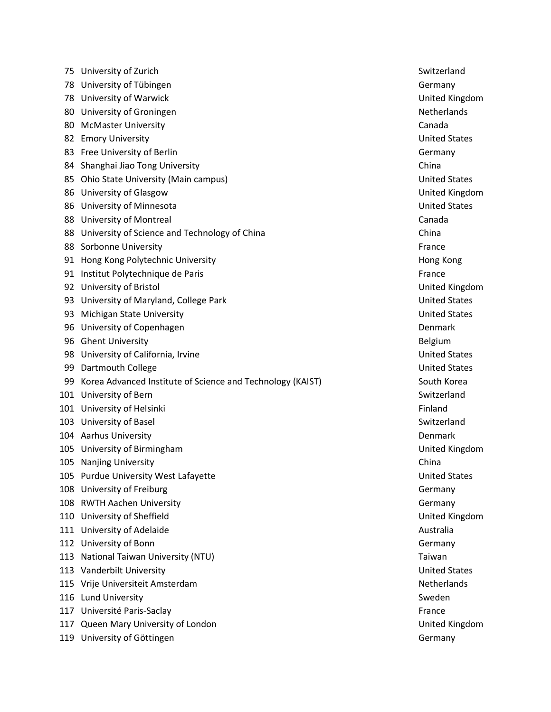|     | 75 University of Zurich                                    | Switzerland          |
|-----|------------------------------------------------------------|----------------------|
| 78  | University of Tübingen                                     | Germany              |
| 78  | University of Warwick                                      | United Kingd         |
| 80  | University of Groningen                                    | Netherlands          |
| 80  | <b>McMaster University</b>                                 | Canada               |
| 82  | <b>Emory University</b>                                    | <b>United States</b> |
| 83  | Free University of Berlin                                  | Germany              |
| 84  | Shanghai Jiao Tong University                              | China                |
| 85  | Ohio State University (Main campus)                        | <b>United States</b> |
| 86  | University of Glasgow                                      | United Kingd         |
| 86  | University of Minnesota                                    | <b>United States</b> |
|     | 88 University of Montreal                                  | Canada               |
| 88  | University of Science and Technology of China              | China                |
|     | 88 Sorbonne University                                     | France               |
| 91  | Hong Kong Polytechnic University                           | Hong Kong            |
|     | 91 Institut Polytechnique de Paris                         | France               |
|     | 92 University of Bristol                                   | United Kingdo        |
| 93. | University of Maryland, College Park                       | <b>United States</b> |
| 93  | <b>Michigan State University</b>                           | <b>United States</b> |
| 96  | University of Copenhagen                                   | Denmark              |
| 96  | <b>Ghent University</b>                                    | Belgium              |
|     | 98 University of California, Irvine                        | <b>United States</b> |
| 99  | Dartmouth College                                          | <b>United States</b> |
| 99  | Korea Advanced Institute of Science and Technology (KAIST) | South Korea          |
| 101 | University of Bern                                         | Switzerland          |
|     | 101 University of Helsinki                                 | Finland              |
| 103 | University of Basel                                        | Switzerland          |
|     | 104 Aarhus University                                      | Denmark              |
| 105 | University of Birmingham                                   | United Kingd         |
|     | 105 Nanjing University                                     | China                |
|     | 105 Purdue University West Lafayette                       | <b>United States</b> |
|     | 108 University of Freiburg                                 | Germany              |
| 108 | <b>RWTH Aachen University</b>                              | Germany              |
| 110 | University of Sheffield                                    | United Kingde        |
| 111 | University of Adelaide                                     | Australia            |
| 112 | University of Bonn                                         | Germany              |
| 113 | National Taiwan University (NTU)                           | Taiwan               |
|     | 113 Vanderbilt University                                  | <b>United States</b> |
|     | 115 Vrije Universiteit Amsterdam                           | Netherlands          |
|     | 116 Lund University                                        | Sweden               |
|     | 117 Université Paris-Saclay                                | France               |
|     | 117 Queen Mary University of London                        | United Kingdo        |
|     | 119 University of Göttingen                                | Germany              |

United Kingdom **United States United States** United Kingdom **United States** Hong Kong United Kingdom **United States** United States **Poren Advanced Institute of South Korea** Switzerland United Kingdom United States United Kingdom United States Netherlands United Kingdom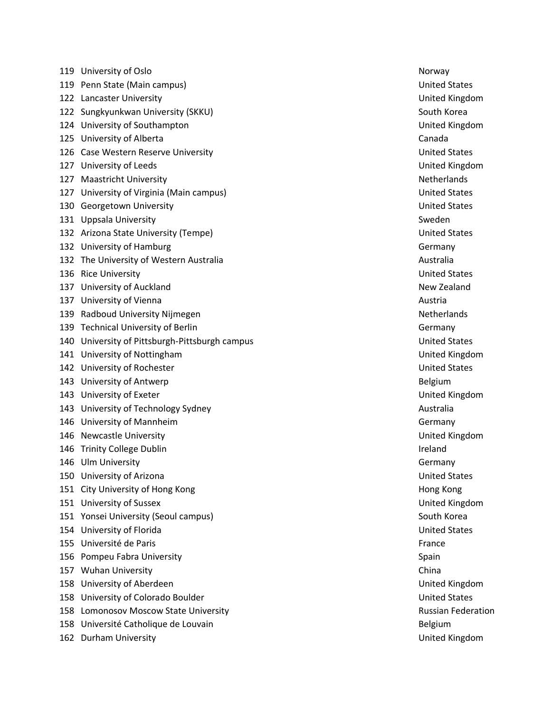119 University of Oslo Norway 119 Penn State (Main campus) United States 122 Lancaster University United Kingdom 122 Sungkyunkwan University (SKKU) South Korea South Korea South Korea 124 University of Southampton United Kingdom 125 University of Alberta Canada 126 Case Western Reserve University **Network Constructs** Case Western Reserve United States 127 University of Leeds **United Kingdom** United Kingdom 127 Maastricht University Netherlands and Security Netherlands Netherlands 127 University of Virginia (Main campus) United States 130 Georgetown University United States 131 Uppsala University **Sweden** 132 Arizona State University (Tempe) **132 Arizona States** United States 132 University of Hamburg Germany Germany Communication of the Communication of the Communication of the Communication of the Communication of the Communication of the Communication of the Communication of the Communicatio 132 The University of Western Australia Australia Australia **136 Rice University No. 2018 Contract Contract Contract Contract Contract Contract Contract Contract Contract Contract Contract Contract Contract Contract Contract Contract Contract Contract Contract Contract Contract** 137 University of Auckland New Zealand New Zealand New Zealand 137 University of Vienna **Austria** Austria **Austria** Austria Austria Austria Austria Austria 139 Radboud University Nijmegen Netherlands Netherlands 139 Technical University of Berlin Germany Communication of Berlin Germany Germany 140 University of Pittsburgh-Pittsburgh campus density and the United States 141 University of Nottingham United Kingdom **142** University of Rochester **National States** And States **United States** United States 143 University of Antwerp **Belgium** Belgium 143 University of Exeter National According Control of Control of Control of Control of Control of Control of Control of Control of Control of Control of Control of Control of Control of Control of Control of Control of Co 143 University of Technology Sydney Australia and Australia Australia Australia 146 University of Mannheim Germany Communication of the Communication of the Germany 146 Newcastle University United Kingdom 146 Trinity College Dublin **Internal College Dublin** Ireland 146 Ulm University **Germany** Germany 150 University of Arizona United States 151 City University of Hong Kong Hong Hong Kong Hong Kong Hong Kong Hong Kong Hong Kong Hong Kong Hong Kong Hong Kong 151 University of Sussex United Kingdom 151 Yonsei University (Seoul campus) South Korea South Korea South Korea South Korea 154 University of Florida United States 155 Université de Paris France 156 Pompeu Fabra University Spain Subsetted and Spain Spain Spain Spain Spain Spain 157 Wuhan University China 158 University of Aberdeen **National State Act of Aberdeen** United Kingdom 158 University of Colorado Boulder New York 1988 United States United States 158 Lomonosov Moscow State University **Russian Federation** Russian Federation 158 Université Catholique de Louvain **162 Durham University Community Community** Community Community Community Community Community Community Community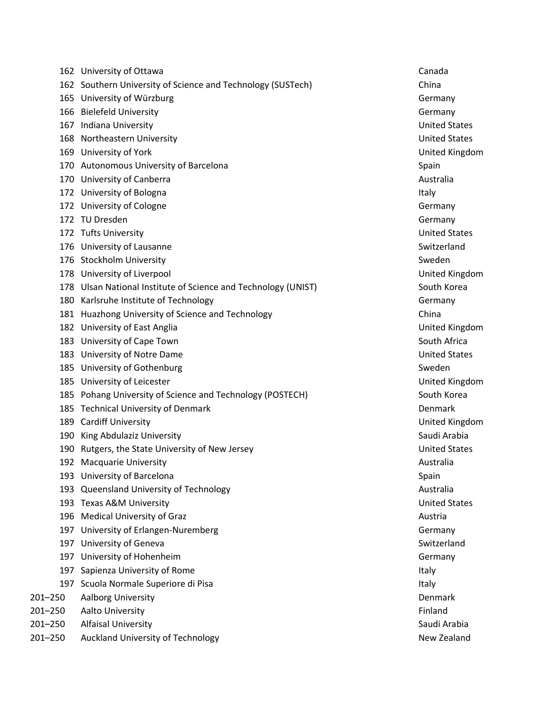|         | 162 University of Ottawa                                       |         | Canada               |
|---------|----------------------------------------------------------------|---------|----------------------|
|         | 162 Southern University of Science and Technology (SUSTech)    | China   |                      |
|         | 165 University of Würzburg                                     |         | Germany              |
|         | 166 Bielefeld University                                       |         | Germany              |
|         | 167 Indiana University                                         |         | <b>United States</b> |
|         | 168 Northeastern University                                    |         | <b>United States</b> |
|         | 169 University of York                                         |         | United Kingde        |
|         | 170 Autonomous University of Barcelona                         | Spain   |                      |
|         | 170 University of Canberra                                     |         | Australia            |
|         | 172 University of Bologna                                      | Italy   |                      |
|         | 172 University of Cologne                                      |         | Germany              |
|         | 172 TU Dresden                                                 |         | Germany              |
|         | 172 Tufts University                                           |         | <b>United States</b> |
|         | 176 University of Lausanne                                     |         | Switzerland          |
|         | 176 Stockholm University                                       |         | Sweden               |
|         | 178 University of Liverpool                                    |         | <b>United Kingdo</b> |
|         | 178 Ulsan National Institute of Science and Technology (UNIST) |         | South Korea          |
|         | 180 Karlsruhe Institute of Technology                          |         | Germany              |
|         | 181 Huazhong University of Science and Technology              | China   |                      |
|         | 182 University of East Anglia                                  |         | United Kingdo        |
|         | 183 University of Cape Town                                    |         | South Africa         |
|         | 183 University of Notre Dame                                   |         | <b>United States</b> |
|         | 185 University of Gothenburg                                   |         | Sweden               |
|         | 185 University of Leicester                                    |         | United Kingdo        |
|         | 185 Pohang University of Science and Technology (POSTECH)      |         | South Korea          |
|         | 185 Technical University of Denmark                            |         | Denmark              |
|         | 189 Cardiff University                                         |         | United Kingde        |
|         | 190 King Abdulaziz University                                  |         | Saudi Arabia         |
|         | 190 Rutgers, the State University of New Jersey                |         | <b>United States</b> |
|         | 192 Macquarie University                                       |         | Australia            |
|         | 193 University of Barcelona                                    | Spain   |                      |
|         | 193 Queensland University of Technology                        |         | Australia            |
|         | 193 Texas A&M University                                       |         | <b>United States</b> |
|         | 196 Medical University of Graz                                 | Austria |                      |
|         | 197 University of Erlangen-Nuremberg                           |         | Germany              |
|         | 197 University of Geneva                                       |         | Switzerland          |
|         | 197 University of Hohenheim                                    |         | Germany              |
| 197     | Sapienza University of Rome                                    | Italy   |                      |
|         | 197 Scuola Normale Superiore di Pisa                           | Italy   |                      |
| 201-250 | Aalborg University                                             |         | Denmark              |
| 201-250 | Aalto University                                               | Finland |                      |
| 201-250 | <b>Alfaisal University</b>                                     |         | Saudi Arabia         |
|         |                                                                |         |                      |

201-250 Auckland University of Technology New Zealand New Zealand

**United States United States** United Kingdom **United States** United Kingdom United Kingdom United Kingdom 185 Pohang University CH) South Korean United Kingdom Saudi Arabia **United States United States** Switzerland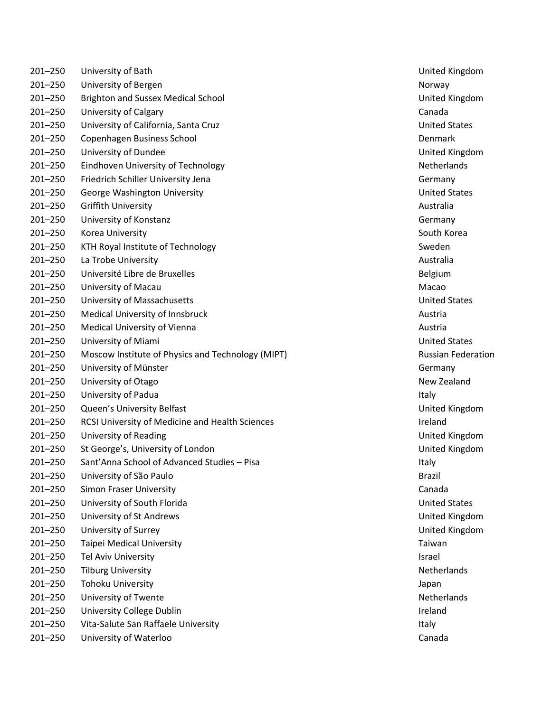| 201-250     | University of Bath                                | United Kingdo        |
|-------------|---------------------------------------------------|----------------------|
| $201 - 250$ | University of Bergen                              | Norway               |
| $201 - 250$ | <b>Brighton and Sussex Medical School</b>         | United Kingdo        |
| $201 - 250$ | University of Calgary                             | Canada               |
| $201 - 250$ | University of California, Santa Cruz              | <b>United States</b> |
| $201 - 250$ | Copenhagen Business School                        | Denmark              |
| $201 - 250$ | University of Dundee                              | United Kingdo        |
| $201 - 250$ | Eindhoven University of Technology                | Netherlands          |
| $201 - 250$ | Friedrich Schiller University Jena                | Germany              |
| $201 - 250$ | George Washington University                      | <b>United States</b> |
| $201 - 250$ | <b>Griffith University</b>                        | Australia            |
| $201 - 250$ | University of Konstanz                            | Germany              |
| $201 - 250$ | Korea University                                  | South Korea          |
| $201 - 250$ | KTH Royal Institute of Technology                 | Sweden               |
| $201 - 250$ | La Trobe University                               | Australia            |
| $201 - 250$ | Université Libre de Bruxelles                     | Belgium              |
| $201 - 250$ | University of Macau                               | Macao                |
| $201 - 250$ | University of Massachusetts                       | <b>United States</b> |
| $201 - 250$ | Medical University of Innsbruck                   | Austria              |
| $201 - 250$ | Medical University of Vienna                      | Austria              |
| $201 - 250$ | University of Miami                               | <b>United States</b> |
| $201 - 250$ | Moscow Institute of Physics and Technology (MIPT) | Russian Feder        |
| $201 - 250$ | University of Münster                             | Germany              |
| $201 - 250$ | University of Otago                               | New Zealand          |
| $201 - 250$ | University of Padua                               | Italy                |
| $201 - 250$ | Queen's University Belfast                        | United Kingdo        |
| $201 - 250$ | RCSI University of Medicine and Health Sciences   | Ireland              |
| $201 - 250$ | University of Reading                             | United Kingdo        |
| $201 - 250$ | St George's, University of London                 | United Kingdo        |
| $201 - 250$ | Sant'Anna School of Advanced Studies - Pisa       | Italy                |
| 201-250     | University of São Paulo                           | <b>Brazil</b>        |
| $201 - 250$ | Simon Fraser University                           | Canada               |
| $201 - 250$ | University of South Florida                       | <b>United States</b> |
| $201 - 250$ | University of St Andrews                          | United Kingdo        |
| 201-250     | University of Surrey                              | United Kingdo        |
| $201 - 250$ | Taipei Medical University                         | Taiwan               |
| $201 - 250$ | Tel Aviv University                               | Israel               |
| 201-250     | <b>Tilburg University</b>                         | Netherlands          |
| 201-250     | <b>Tohoku University</b>                          | Japan                |
| $201 - 250$ | University of Twente                              | Netherlands          |
| $201 - 250$ | University College Dublin                         | Ireland              |
| 201-250     | Vita-Salute San Raffaele University               | Italy                |
| 201-250     | University of Waterloo                            | Canada               |

United Kingdom United Kingdom United Kingdom United States –250 Moscow Institute of Physics and Technology (MIPT) Russian Federation New Zealand United Kingdom United Kingdom United Kingdom United States United Kingdom United Kingdom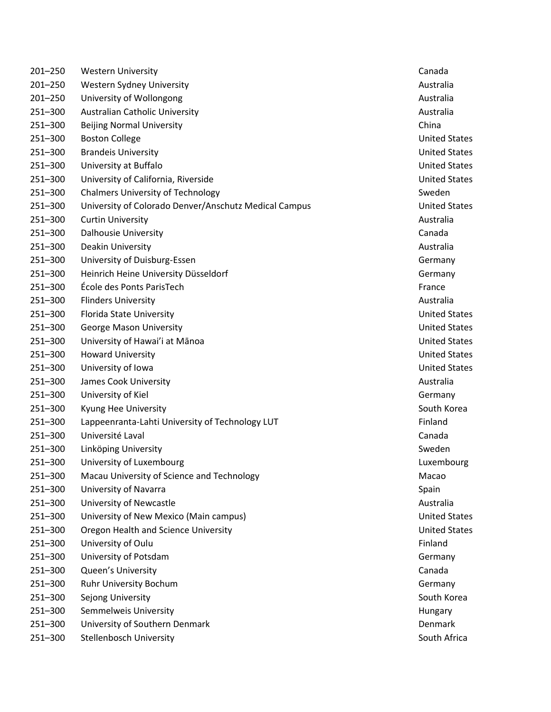| $201 - 250$ | <b>Western University</b>                             | Canada               |
|-------------|-------------------------------------------------------|----------------------|
| $201 - 250$ | Western Sydney University                             | Australia            |
| $201 - 250$ | University of Wollongong                              | Australia            |
| 251-300     | Australian Catholic University                        | Australia            |
| 251-300     | <b>Beijing Normal University</b>                      | China                |
| 251-300     | <b>Boston College</b>                                 | <b>United States</b> |
| 251-300     | <b>Brandeis University</b>                            | <b>United States</b> |
| 251-300     | University at Buffalo                                 | <b>United States</b> |
| 251-300     | University of California, Riverside                   | <b>United States</b> |
| 251-300     | <b>Chalmers University of Technology</b>              | Sweden               |
| 251-300     | University of Colorado Denver/Anschutz Medical Campus | <b>United States</b> |
| 251-300     | <b>Curtin University</b>                              | Australia            |
| 251-300     | <b>Dalhousie University</b>                           | Canada               |
| 251-300     | Deakin University                                     | Australia            |
| 251-300     | University of Duisburg-Essen                          | Germany              |
| 251-300     | Heinrich Heine University Düsseldorf                  | Germany              |
| 251-300     | École des Ponts ParisTech                             | France               |
| 251-300     | <b>Flinders University</b>                            | Australia            |
| 251-300     | Florida State University                              | <b>United States</b> |
| 251-300     | George Mason University                               | <b>United States</b> |
| 251-300     | University of Hawai'i at Mānoa                        | <b>United States</b> |
| 251-300     | <b>Howard University</b>                              | <b>United States</b> |
| 251-300     | University of Iowa                                    | <b>United States</b> |
| 251-300     | James Cook University                                 | Australia            |
| 251-300     | University of Kiel                                    | Germany              |
| 251-300     | Kyung Hee University                                  | South Korea          |
| 251-300     | Lappeenranta-Lahti University of Technology LUT       | Finland              |
| 251-300     | Université Laval                                      | Canada               |
| 251-300     | Linköping University                                  | Sweden               |
| 251-300     | University of Luxembourg                              | Luxembourg           |
| 251-300     | Macau University of Science and Technology            | Macao                |
| 251-300     | University of Navarra                                 | Spain                |
| 251-300     | University of Newcastle                               | Australia            |
| 251-300     | University of New Mexico (Main campus)                | <b>United States</b> |
| 251-300     | Oregon Health and Science University                  | <b>United States</b> |
| 251-300     | University of Oulu                                    | Finland              |
| 251-300     | University of Potsdam                                 | Germany              |
| 251-300     | Queen's University                                    | Canada               |
| 251-300     | Ruhr University Bochum                                | Germany              |
| 251-300     | Sejong University                                     | South Korea          |
| 251-300     | Semmelweis University                                 | Hungary              |
| 251-300     | University of Southern Denmark                        | <b>Denmark</b>       |
| 251-300     | Stellenbosch University                               | South Africa         |

**United States** United States South Korea Luxembourg United States United States South Korea